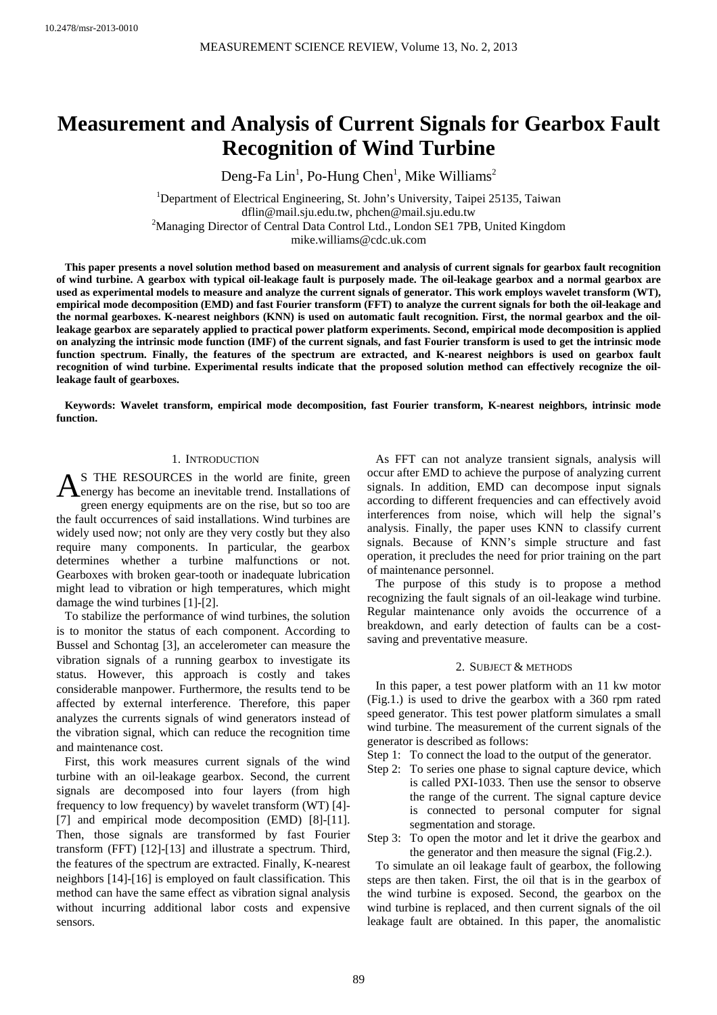# **Measurement and Analysis of Current Signals for Gearbox Fault Recognition of Wind Turbine**

Deng-Fa  $Lin<sup>1</sup>$ , Po-Hung Chen<sup>1</sup>, Mike Williams<sup>2</sup>

<sup>1</sup>Department of Electrical Engineering, St. John's University, Taipei 25135, Taiwan dflin@mail.sju.edu.tw, phchen@mail.sju.edu.tw 2 Managing Director of Central Data Control Ltd., London SE1 7PB, United Kingdom mike.williams@cdc.uk.com

**This paper presents a novel solution method based on measurement and analysis of current signals for gearbox fault recognition of wind turbine. A gearbox with typical oil-leakage fault is purposely made. The oil-leakage gearbox and a normal gearbox are used as experimental models to measure and analyze the current signals of generator. This work employs wavelet transform (WT), empirical mode decomposition (EMD) and fast Fourier transform (FFT) to analyze the current signals for both the oil-leakage and the normal gearboxes. K-nearest neighbors (KNN) is used on automatic fault recognition. First, the normal gearbox and the oilleakage gearbox are separately applied to practical power platform experiments. Second, empirical mode decomposition is applied on analyzing the intrinsic mode function (IMF) of the current signals, and fast Fourier transform is used to get the intrinsic mode function spectrum. Finally, the features of the spectrum are extracted, and K-nearest neighbors is used on gearbox fault recognition of wind turbine. Experimental results indicate that the proposed solution method can effectively recognize the oilleakage fault of gearboxes.** 

**Keywords: Wavelet transform, empirical mode decomposition, fast Fourier transform, K-nearest neighbors, intrinsic mode function.** 

### 1. INTRODUCTION

S THE RESOURCES in the world are finite, green AS THE RESOURCES in the world are finite, green<br>Aenergy has become an inevitable trend. Installations of green energy equipments are on the rise, but so too are the fault occurrences of said installations. Wind turbines are widely used now; not only are they very costly but they also require many components. In particular, the gearbox determines whether a turbine malfunctions or not. Gearboxes with broken gear-tooth or inadequate lubrication might lead to vibration or high temperatures, which might damage the wind turbines [1]-[2].

To stabilize the performance of wind turbines, the solution is to monitor the status of each component. According to Bussel and Schontag [3], an accelerometer can measure the vibration signals of a running gearbox to investigate its status. However, this approach is costly and takes considerable manpower. Furthermore, the results tend to be affected by external interference. Therefore, this paper analyzes the currents signals of wind generators instead of the vibration signal, which can reduce the recognition time and maintenance cost.

First, this work measures current signals of the wind turbine with an oil-leakage gearbox. Second, the current signals are decomposed into four layers (from high frequency to low frequency) by wavelet transform (WT) [4]- [7] and empirical mode decomposition (EMD) [8]-[11]. Then, those signals are transformed by fast Fourier transform (FFT) [12]-[13] and illustrate a spectrum. Third, the features of the spectrum are extracted. Finally, K-nearest neighbors [14]-[16] is employed on fault classification. This method can have the same effect as vibration signal analysis without incurring additional labor costs and expensive sensors.

As FFT can not analyze transient signals, analysis will occur after EMD to achieve the purpose of analyzing current signals. In addition, EMD can decompose input signals according to different frequencies and can effectively avoid interferences from noise, which will help the signal's analysis. Finally, the paper uses KNN to classify current signals. Because of KNN's simple structure and fast operation, it precludes the need for prior training on the part of maintenance personnel.

The purpose of this study is to propose a method recognizing the fault signals of an oil-leakage wind turbine. Regular maintenance only avoids the occurrence of a breakdown, and early detection of faults can be a costsaving and preventative measure.

## 2. SUBJECT & METHODS

In this paper, a test power platform with an 11 kw motor (Fig.1.) is used to drive the gearbox with a 360 rpm rated speed generator. This test power platform simulates a small wind turbine. The measurement of the current signals of the generator is described as follows:

Step 1: To connect the load to the output of the generator.

- Step 2: To series one phase to signal capture device, which is called PXI-1033. Then use the sensor to observe the range of the current. The signal capture device is connected to personal computer for signal segmentation and storage.
- Step 3: To open the motor and let it drive the gearbox and the generator and then measure the signal (Fig.2.).

To simulate an oil leakage fault of gearbox, the following steps are then taken. First, the oil that is in the gearbox of the wind turbine is exposed. Second, the gearbox on the wind turbine is replaced, and then current signals of the oil leakage fault are obtained. In this paper, the anomalistic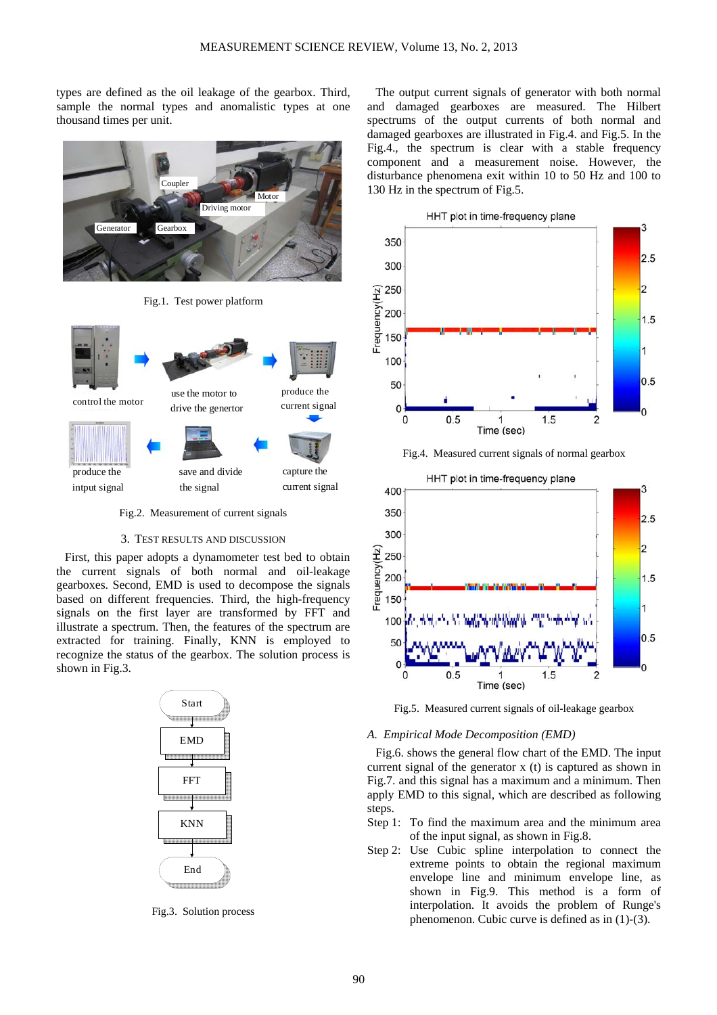types are defined as the oil leakage of the gearbox. Third, sample the normal types and anomalistic types at one thousand times per unit.



Fig.1. Test power platform



Fig.2. Measurement of current signals

### 3. TEST RESULTS AND DISCUSSION

First, this paper adopts a dynamometer test bed to obtain the current signals of both normal and oil-leakage gearboxes. Second, EMD is used to decompose the signals based on different frequencies. Third, the high-frequency signals on the first layer are transformed by FFT and illustrate a spectrum. Then, the features of the spectrum are extracted for training. Finally, KNN is employed to recognize the status of the gearbox. The solution process is shown in Fig.3.



Fig.3. Solution process

The output current signals of generator with both normal and damaged gearboxes are measured. The Hilbert spectrums of the output currents of both normal and damaged gearboxes are illustrated in Fig.4. and Fig.5. In the Fig.4., the spectrum is clear with a stable frequency component and a measurement noise. However, the disturbance phenomena exit within 10 to 50 Hz and 100 to 130 Hz in the spectrum of Fig.5.



Fig.4. Measured current signals of normal gearbox



Fig.5. Measured current signals of oil-leakage gearbox

#### *A. Empirical Mode Decomposition (EMD)*

Fig.6. shows the general flow chart of the EMD. The input current signal of the generator x (t) is captured as shown in Fig.7. and this signal has a maximum and a minimum. Then apply EMD to this signal, which are described as following steps.

- Step 1: To find the maximum area and the minimum area of the input signal, as shown in Fig.8.
- Step 2: Use Cubic spline interpolation to connect the extreme points to obtain the regional maximum envelope line and minimum envelope line, as shown in Fig.9. This method is a form of interpolation. It avoids the problem of Runge's phenomenon. Cubic curve is defined as in (1)-(3).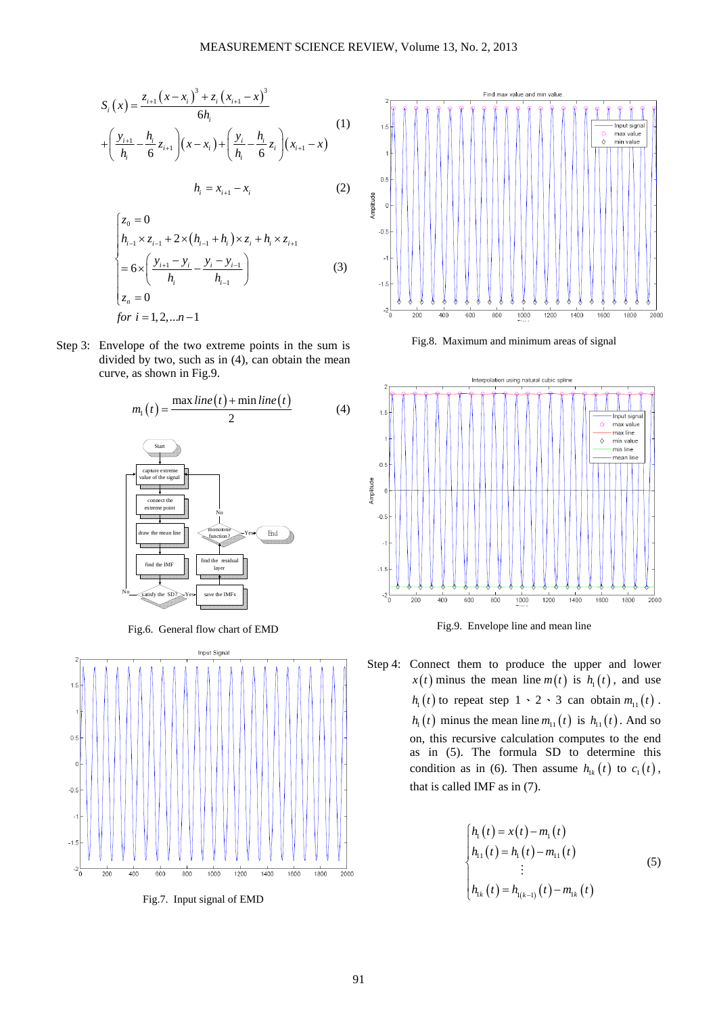$$
S_i(x) = \frac{z_{i+1}(x - x_i)^3 + z_i (x_{i+1} - x)^3}{6h_i}
$$
  
+ 
$$
\left(\frac{y_{i+1}}{h_i} - \frac{h_i}{6} z_{i+1}\right)(x - x_i) + \left(\frac{y_i}{h_i} - \frac{h_i}{6} z_i\right)(x_{i+1} - x)
$$

$$
(1)
$$

$$
h_i = x_{i+1} - x_i \tag{2}
$$

$$
\begin{cases}\nz_0 = 0 \\
h_{i-1} \times z_{i-1} + 2 \times (h_{i-1} + h_i) \times z_i + h_i \times z_{i+1} \\
= 6 \times \left( \frac{y_{i+1} - y_i}{h_i} - \frac{y_i - y_{i-1}}{h_{i-1}} \right) \\
z_n = 0 \\
for \ i = 1, 2, \dots n - 1\n\end{cases} (3)
$$

Step 3: Envelope of the two extreme points in the sum is divided by two, such as in (4), can obtain the mean curve, as shown in Fig.9.

$$
m_1(t) = \frac{\max line(t) + \min line(t)}{2}
$$
 (4)



Fig.6. General flow chart of EMD



Fig.7. Input signal of EMD



Fig.8. Maximum and minimum areas of signal





Step 4: Connect them to produce the upper and lower  $x(t)$  minus the mean line  $m(t)$  is  $h_1(t)$ , and use  $h_1(t)$  to repeat step  $1 \cdot 2 \cdot 3$  can obtain  $m_{11}(t)$ .  $h_1(t)$  minus the mean line  $m_{11}(t)$  is  $h_{11}(t)$ . And so on, this recursive calculation computes to the end as in (5). The formula SD to determine this condition as in (6). Then assume  $h_{1k}(t)$  to  $c_1(t)$ , that is called IMF as in (7).

$$
\begin{cases}\nh_1(t) = x(t) - m_1(t) \\
h_{11}(t) = h_1(t) - m_{11}(t) \\
\vdots \\
h_{1k}(t) = h_{1(k-1)}(t) - m_{1k}(t)\n\end{cases} (5)
$$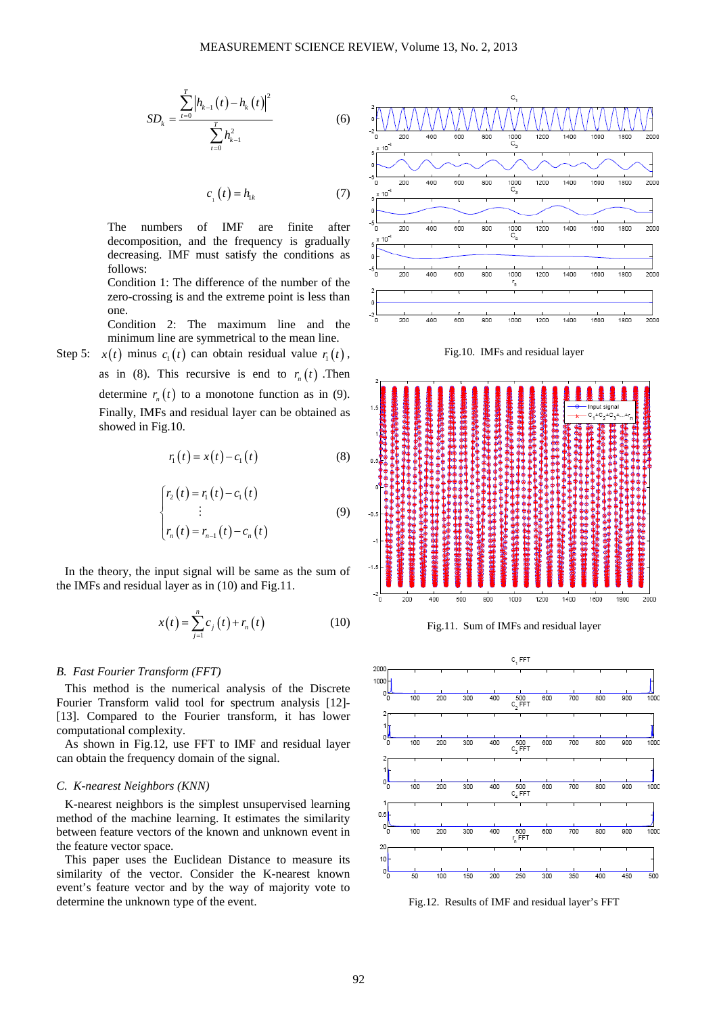$$
SD_{k} = \frac{\sum_{t=0}^{T} \left| h_{k-1}(t) - h_{k}(t) \right|^{2}}{\sum_{t=0}^{T} h_{k-1}^{2}}
$$
(6)

$$
c_{i}(t) = h_{1k} \tag{7}
$$

The numbers of IMF are finite after decomposition, and the frequency is gradually decreasing. IMF must satisfy the conditions as follows:

Condition 1: The difference of the number of the zero-crossing is and the extreme point is less than one.

Condition 2: The maximum line and the minimum line are symmetrical to the mean line.

Step 5:  $x(t)$  minus  $c_1(t)$  can obtain residual value  $r_1(t)$ , as in (8). This recursive is end to  $r_n(t)$ . Then determine  $r_n(t)$  to a monotone function as in (9). Finally, IMFs and residual layer can be obtained as showed in Fig.10.

$$
r_1(t) = x(t) - c_1(t) \tag{8}
$$

$$
\begin{cases}\nr_2(t) = r_1(t) - c_1(t) \\
\vdots \\
r_n(t) = r_{n-1}(t) - c_n(t)\n\end{cases} (9)
$$

In the theory, the input signal will be same as the sum of the IMFs and residual layer as in (10) and Fig.11.

$$
x(t) = \sum_{j=1}^{n} c_j(t) + r_n(t)
$$
 (10)

#### *B. Fast Fourier Transform (FFT)*

This method is the numerical analysis of the Discrete Fourier Transform valid tool for spectrum analysis [12]- [13]. Compared to the Fourier transform, it has lower computational complexity.

As shown in Fig.12, use FFT to IMF and residual layer can obtain the frequency domain of the signal.

## *C. K-nearest Neighbors (KNN)*

K-nearest neighbors is the simplest unsupervised learning method of the machine learning. It estimates the similarity between feature vectors of the known and unknown event in the feature vector space.

This paper uses the Euclidean Distance to measure its similarity of the vector. Consider the K-nearest known event's feature vector and by the way of majority vote to determine the unknown type of the event.



Fig.10. IMFs and residual layer



Fig.11. Sum of IMFs and residual layer



Fig.12. Results of IMF and residual layer's FFT